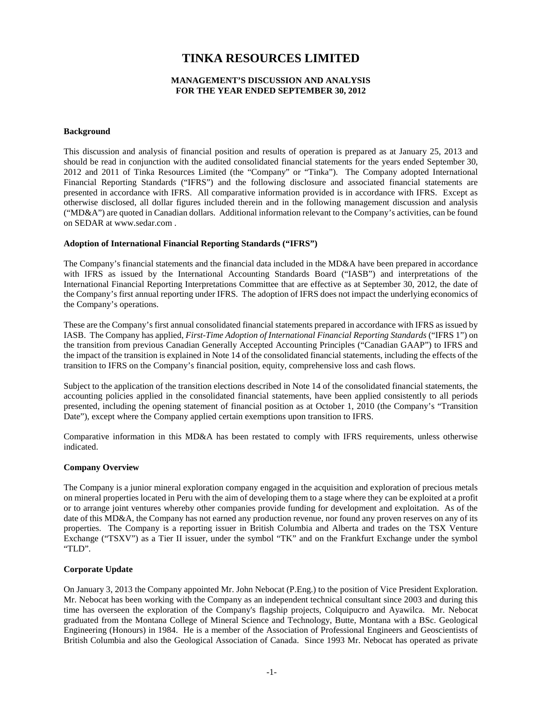# **TINKA RESOURCES LIMITED**

## **MANAGEMENT'S DISCUSSION AND ANALYSIS FOR THE YEAR ENDED SEPTEMBER 30, 2012**

## **Background**

This discussion and analysis of financial position and results of operation is prepared as at January 25, 2013 and should be read in conjunction with the audited consolidated financial statements for the years ended September 30, 2012 and 2011 of Tinka Resources Limited (the "Company" or "Tinka"). The Company adopted International Financial Reporting Standards ("IFRS") and the following disclosure and associated financial statements are presented in accordance with IFRS. All comparative information provided is in accordance with IFRS. Except as otherwise disclosed, all dollar figures included therein and in the following management discussion and analysis ("MD&A") are quoted in Canadian dollars. Additional information relevant to the Company's activities, can be found on SEDAR at www.sedar.com .

## **Adoption of International Financial Reporting Standards ("IFRS")**

The Company's financial statements and the financial data included in the MD&A have been prepared in accordance with IFRS as issued by the International Accounting Standards Board ("IASB") and interpretations of the International Financial Reporting Interpretations Committee that are effective as at September 30, 2012, the date of the Company's first annual reporting under IFRS. The adoption of IFRS does not impact the underlying economics of the Company's operations.

These are the Company's first annual consolidated financial statements prepared in accordance with IFRS as issued by IASB. The Company has applied, *First-Time Adoption of International Financial Reporting Standards* ("IFRS 1") on the transition from previous Canadian Generally Accepted Accounting Principles ("Canadian GAAP") to IFRS and the impact of the transition is explained in Note 14 of the consolidated financial statements, including the effects of the transition to IFRS on the Company's financial position, equity, comprehensive loss and cash flows.

Subject to the application of the transition elections described in Note 14 of the consolidated financial statements, the accounting policies applied in the consolidated financial statements, have been applied consistently to all periods presented, including the opening statement of financial position as at October 1, 2010 (the Company's "Transition Date"), except where the Company applied certain exemptions upon transition to IFRS.

Comparative information in this MD&A has been restated to comply with IFRS requirements, unless otherwise indicated.

# **Company Overview**

The Company is a junior mineral exploration company engaged in the acquisition and exploration of precious metals on mineral properties located in Peru with the aim of developing them to a stage where they can be exploited at a profit or to arrange joint ventures whereby other companies provide funding for development and exploitation. As of the date of this MD&A, the Company has not earned any production revenue, nor found any proven reserves on any of its properties. The Company is a reporting issuer in British Columbia and Alberta and trades on the TSX Venture Exchange ("TSXV") as a Tier II issuer, under the symbol "TK" and on the Frankfurt Exchange under the symbol "TLD".

# **Corporate Update**

On January 3, 2013 the Company appointed Mr. John Nebocat (P.Eng.) to the position of Vice President Exploration. Mr. Nebocat has been working with the Company as an independent technical consultant since 2003 and during this time has overseen the exploration of the Company's flagship projects, Colquipucro and Ayawilca. Mr. Nebocat graduated from the Montana College of Mineral Science and Technology, Butte, Montana with a BSc. Geological Engineering (Honours) in 1984. He is a member of the Association of Professional Engineers and Geoscientists of British Columbia and also the Geological Association of Canada. Since 1993 Mr. Nebocat has operated as private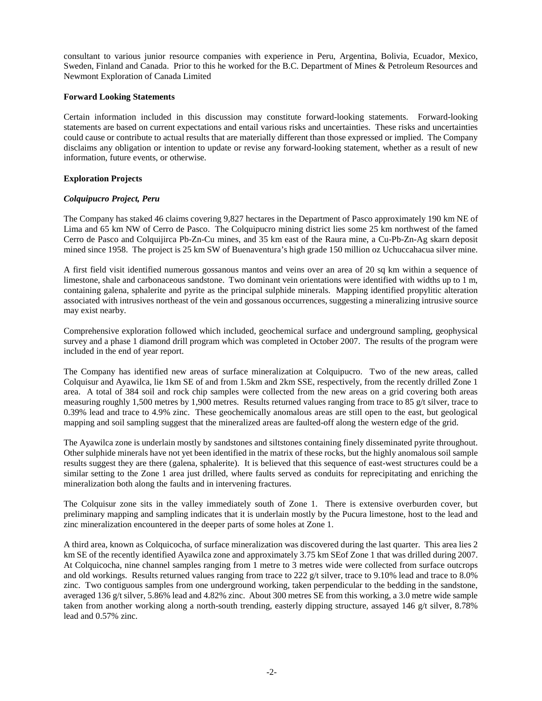consultant to various junior resource companies with experience in Peru, Argentina, Bolivia, Ecuador, Mexico, Sweden, Finland and Canada. Prior to this he worked for the B.C. Department of Mines & Petroleum Resources and Newmont Exploration of Canada Limited

#### **Forward Looking Statements**

Certain information included in this discussion may constitute forward-looking statements. Forward-looking statements are based on current expectations and entail various risks and uncertainties. These risks and uncertainties could cause or contribute to actual results that are materially different than those expressed or implied. The Company disclaims any obligation or intention to update or revise any forward-looking statement, whether as a result of new information, future events, or otherwise.

# **Exploration Projects**

## *Colquipucro Project, Peru*

The Company has staked 46 claims covering 9,827 hectares in the Department of Pasco approximately 190 km NE of Lima and 65 km NW of Cerro de Pasco. The Colquipucro mining district lies some 25 km northwest of the famed Cerro de Pasco and Colquijirca Pb-Zn-Cu mines, and 35 km east of the Raura mine, a Cu-Pb-Zn-Ag skarn deposit mined since 1958. The project is 25 km SW of Buenaventura's high grade 150 million oz Uchuccahacua silver mine.

A first field visit identified numerous gossanous mantos and veins over an area of 20 sq km within a sequence of limestone, shale and carbonaceous sandstone. Two dominant vein orientations were identified with widths up to 1 m, containing galena, sphalerite and pyrite as the principal sulphide minerals. Mapping identified propylitic alteration associated with intrusives northeast of the vein and gossanous occurrences, suggesting a mineralizing intrusive source may exist nearby.

Comprehensive exploration followed which included, geochemical surface and underground sampling, geophysical survey and a phase 1 diamond drill program which was completed in October 2007. The results of the program were included in the end of year report.

The Company has identified new areas of surface mineralization at Colquipucro. Two of the new areas, called Colquisur and Ayawilca, lie 1km SE of and from 1.5km and 2km SSE, respectively, from the recently drilled Zone 1 area. A total of 384 soil and rock chip samples were collected from the new areas on a grid covering both areas measuring roughly 1,500 metres by 1,900 metres. Results returned values ranging from trace to 85 g/t silver, trace to 0.39% lead and trace to 4.9% zinc. These geochemically anomalous areas are still open to the east, but geological mapping and soil sampling suggest that the mineralized areas are faulted-off along the western edge of the grid.

The Ayawilca zone is underlain mostly by sandstones and siltstones containing finely disseminated pyrite throughout. Other sulphide minerals have not yet been identified in the matrix of these rocks, but the highly anomalous soil sample results suggest they are there (galena, sphalerite). It is believed that this sequence of east-west structures could be a similar setting to the Zone 1 area just drilled, where faults served as conduits for reprecipitating and enriching the mineralization both along the faults and in intervening fractures.

The Colquisur zone sits in the valley immediately south of Zone 1. There is extensive overburden cover, but preliminary mapping and sampling indicates that it is underlain mostly by the Pucura limestone, host to the lead and zinc mineralization encountered in the deeper parts of some holes at Zone 1.

A third area, known as Colquicocha, of surface mineralization was discovered during the last quarter. This area lies 2 km SE of the recently identified Ayawilca zone and approximately 3.75 km SEof Zone 1 that was drilled during 2007. At Colquicocha, nine channel samples ranging from 1 metre to 3 metres wide were collected from surface outcrops and old workings. Results returned values ranging from trace to 222 g/t silver, trace to 9.10% lead and trace to 8.0% zinc. Two contiguous samples from one underground working, taken perpendicular to the bedding in the sandstone, averaged 136 g/t silver, 5.86% lead and 4.82% zinc. About 300 metres SE from this working, a 3.0 metre wide sample taken from another working along a north-south trending, easterly dipping structure, assayed 146 g/t silver, 8.78% lead and 0.57% zinc.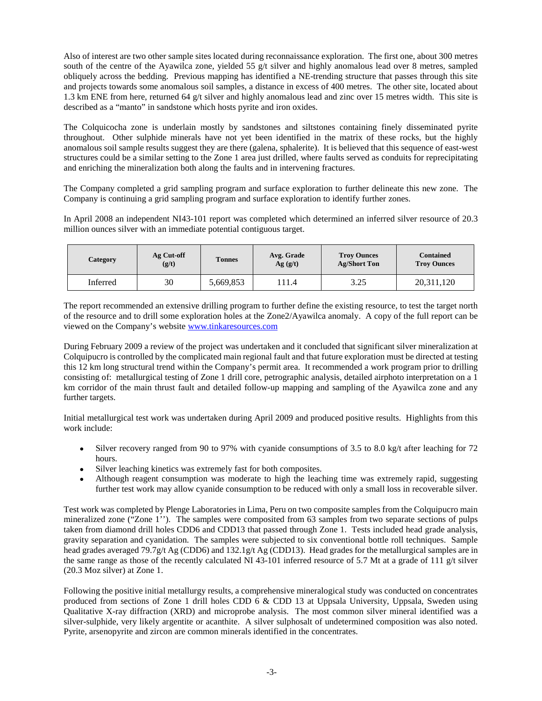Also of interest are two other sample sites located during reconnaissance exploration. The first one, about 300 metres south of the centre of the Ayawilca zone, yielded 55 g/t silver and highly anomalous lead over 8 metres, sampled obliquely across the bedding. Previous mapping has identified a NE-trending structure that passes through this site and projects towards some anomalous soil samples, a distance in excess of 400 metres. The other site, located about 1.3 km ENE from here, returned 64 g/t silver and highly anomalous lead and zinc over 15 metres width. This site is described as a "manto" in sandstone which hosts pyrite and iron oxides.

The Colquicocha zone is underlain mostly by sandstones and siltstones containing finely disseminated pyrite throughout. Other sulphide minerals have not yet been identified in the matrix of these rocks, but the highly anomalous soil sample results suggest they are there (galena, sphalerite). It is believed that this sequence of east-west structures could be a similar setting to the Zone 1 area just drilled, where faults served as conduits for reprecipitating and enriching the mineralization both along the faults and in intervening fractures.

The Company completed a grid sampling program and surface exploration to further delineate this new zone. The Company is continuing a grid sampling program and surface exploration to identify further zones.

In April 2008 an independent NI43-101 report was completed which determined an inferred silver resource of 20.3 million ounces silver with an immediate potential contiguous target.

| Category | Ag Cut-off<br>(g/t) | <b>Tonnes</b> | Avg. Grade<br>Ag(g/t) | <b>Troy Ounces</b><br><b>Ag/Short Ton</b> | <b>Contained</b><br><b>Troy Ounces</b> |
|----------|---------------------|---------------|-----------------------|-------------------------------------------|----------------------------------------|
| Inferred | 30                  | 5,669,853     | 111.4                 | 3.25                                      | 20,311,120                             |

The report recommended an extensive drilling program to further define the existing resource, to test the target north of the resource and to drill some exploration holes at the Zone2/Ayawilca anomaly. A copy of the full report can be viewed on the Company's website [www.tinkaresources.com](http://www.tinkaresources.com/) 

During February 2009 a review of the project was undertaken and it concluded that significant silver mineralization at Colquipucro is controlled by the complicated main regional fault and that future exploration must be directed at testing this 12 km long structural trend within the Company's permit area. It recommended a work program prior to drilling consisting of: metallurgical testing of Zone 1 drill core, petrographic analysis, detailed airphoto interpretation on a 1 km corridor of the main thrust fault and detailed follow-up mapping and sampling of the Ayawilca zone and any further targets.

Initial metallurgical test work was undertaken during April 2009 and produced positive results. Highlights from this work include:

- Silver recovery ranged from 90 to 97% with cyanide consumptions of 3.5 to 8.0 kg/t after leaching for 72 hours.
- Silver leaching kinetics was extremely fast for both composites.
- Although reagent consumption was moderate to high the leaching time was extremely rapid, suggesting further test work may allow cyanide consumption to be reduced with only a small loss in recoverable silver.

Test work was completed by Plenge Laboratories in Lima, Peru on two composite samples from the Colquipucro main mineralized zone ("Zone 1''). The samples were composited from 63 samples from two separate sections of pulps taken from diamond drill holes CDD6 and CDD13 that passed through Zone 1. Tests included head grade analysis, gravity separation and cyanidation. The samples were subjected to six conventional bottle roll techniques. Sample head grades averaged 79.7g/t Ag (CDD6) and 132.1g/t Ag (CDD13). Head grades for the metallurgical samples are in the same range as those of the recently calculated NI 43-101 inferred resource of 5.7 Mt at a grade of 111 g/t silver (20.3 Moz silver) at Zone 1.

Following the positive initial metallurgy results, a comprehensive mineralogical study was conducted on concentrates produced from sections of Zone 1 drill holes CDD 6 & CDD 13 at Uppsala University, Uppsala, Sweden using Qualitative X-ray diffraction (XRD) and microprobe analysis. The most common silver mineral identified was a silver-sulphide, very likely argentite or acanthite. A silver sulphosalt of undetermined composition was also noted. Pyrite, arsenopyrite and zircon are common minerals identified in the concentrates.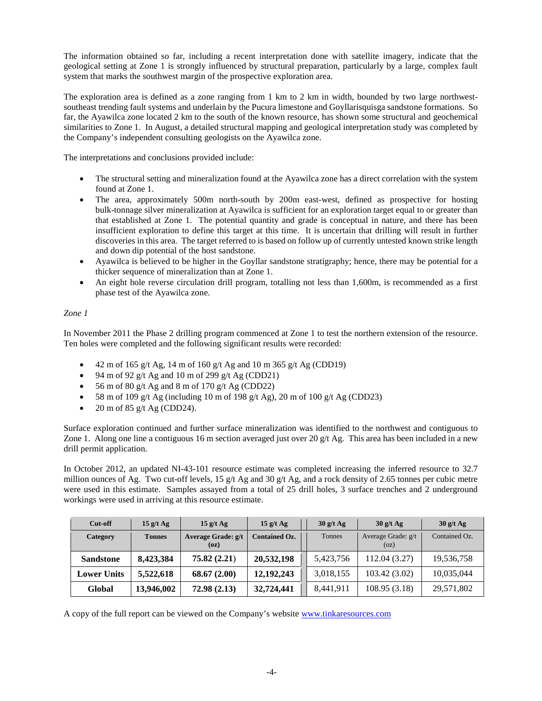The information obtained so far, including a recent interpretation done with satellite imagery, indicate that the geological setting at Zone 1 is strongly influenced by structural preparation, particularly by a large, complex fault system that marks the southwest margin of the prospective exploration area.

The exploration area is defined as a zone ranging from 1 km to 2 km in width, bounded by two large northwestsoutheast trending fault systems and underlain by the Pucura limestone and Goyllarisquisga sandstone formations. So far, the Ayawilca zone located 2 km to the south of the known resource, has shown some structural and geochemical similarities to Zone 1. In August, a detailed structural mapping and geological interpretation study was completed by the Company's independent consulting geologists on the Ayawilca zone.

The interpretations and conclusions provided include:

- The structural setting and mineralization found at the Ayawilca zone has a direct correlation with the system found at Zone 1.
- The area, approximately 500m north-south by 200m east-west, defined as prospective for hosting bulk-tonnage silver mineralization at Ayawilca is sufficient for an exploration target equal to or greater than that established at Zone 1. The potential quantity and grade is conceptual in nature, and there has been insufficient exploration to define this target at this time. It is uncertain that drilling will result in further discoveries in this area. The target referred to is based on follow up of currently untested known strike length and down dip potential of the host sandstone.
- Ayawilca is believed to be higher in the Goyllar sandstone stratigraphy; hence, there may be potential for a thicker sequence of mineralization than at Zone 1.
- An eight hole reverse circulation drill program, totalling not less than 1,600m, is recommended as a first phase test of the Ayawilca zone.

# *Zone 1*

In November 2011 the Phase 2 drilling program commenced at Zone 1 to test the northern extension of the resource. Ten holes were completed and the following significant results were recorded:

- 42 m of 165 g/t Ag, 14 m of 160 g/t Ag and 10 m 365 g/t Ag (CDD19)
- 94 m of 92 g/t Ag and 10 m of 299 g/t Ag (CDD21)
- 56 m of 80 g/t Ag and 8 m of 170 g/t Ag (CDD22)
- 58 m of 109 g/t Ag (including 10 m of 198 g/t Ag), 20 m of 100 g/t Ag (CDD23)
- 20 m of 85 g/t Ag (CDD24).

Surface exploration continued and further surface mineralization was identified to the northwest and contiguous to Zone 1. Along one line a contiguous 16 m section averaged just over 20 g/t Ag. This area has been included in a new drill permit application.

In October 2012, an updated NI-43-101 resource estimate was completed increasing the inferred resource to 32.7 million ounces of Ag. Two cut-off levels, 15 g/t Ag and 30 g/t Ag, and a rock density of 2.65 tonnes per cubic metre were used in this estimate. Samples assayed from a total of 25 drill holes, 3 surface trenches and 2 underground workings were used in arriving at this resource estimate.

| Cut-off            | $15 \frac{\text{g}}{\text{t} \text{Ag}}$ | $15$ g/t Ag                | 15 g/t Ag            | $30$ g/t Ag   | $30$ g/t Ag                | $30$ g/t Ag   |
|--------------------|------------------------------------------|----------------------------|----------------------|---------------|----------------------------|---------------|
| Category           | <b>Tonnes</b>                            | Average Grade: g/t<br>(oz) | <b>Contained Oz.</b> | <b>Tonnes</b> | Average Grade: g/t<br>(oz) | Contained Oz. |
| <b>Sandstone</b>   | 8,423,384                                | 75.82(2.21)                | 20,532,198           | 5,423,756     | 112.04 (3.27)              | 19,536,758    |
| <b>Lower Units</b> | 5,522,618                                | 68.67(2.00)                | 12, 192, 243         | 3,018,155     | 103.42 (3.02)              | 10,035,044    |
| Global             | 13,946,002                               | 72.98(2.13)                | 32,724,441           | 8,441,911     | 108.95 (3.18)              | 29,571,802    |

A copy of the full report can be viewed on the Company's website [www.tinkaresources.com](http://www.tinkaresources.com/)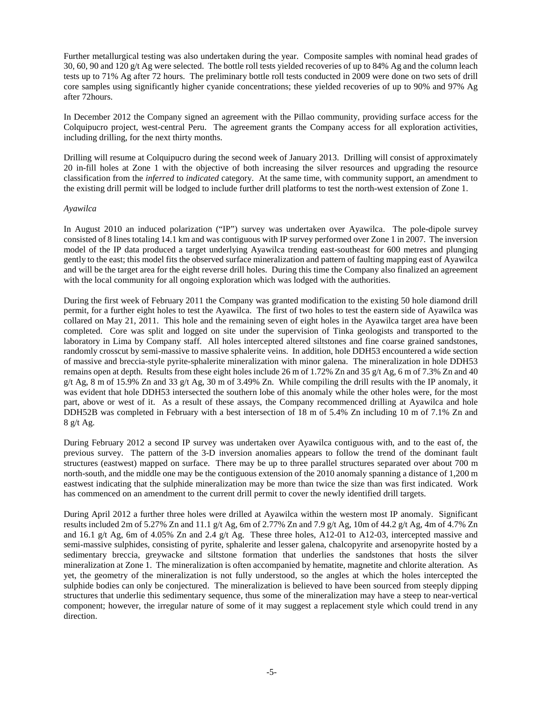Further metallurgical testing was also undertaken during the year. Composite samples with nominal head grades of 30, 60, 90 and 120 g/t Ag were selected. The bottle roll tests yielded recoveries of up to 84% Ag and the column leach tests up to 71% Ag after 72 hours. The preliminary bottle roll tests conducted in 2009 were done on two sets of drill core samples using significantly higher cyanide concentrations; these yielded recoveries of up to 90% and 97% Ag after 72hours.

In December 2012 the Company signed an agreement with the Pillao community, providing surface access for the Colquipucro project, west-central Peru. The agreement grants the Company access for all exploration activities, including drilling, for the next thirty months.

Drilling will resume at Colquipucro during the second week of January 2013. Drilling will consist of approximately 20 in-fill holes at Zone 1 with the objective of both increasing the silver resources and upgrading the resource classification from the *inferred* to *indicated* category. At the same time, with community support, an amendment to the existing drill permit will be lodged to include further drill platforms to test the north-west extension of Zone 1.

#### *Ayawilca*

In August 2010 an induced polarization ("IP") survey was undertaken over Ayawilca. The pole-dipole survey consisted of 8 lines totaling 14.1 km and was contiguous with IP survey performed over Zone 1 in 2007. The inversion model of the IP data produced a target underlying Ayawilca trending east-southeast for 600 metres and plunging gently to the east; this model fits the observed surface mineralization and pattern of faulting mapping east of Ayawilca and will be the target area for the eight reverse drill holes. During this time the Company also finalized an agreement with the local community for all ongoing exploration which was lodged with the authorities.

During the first week of February 2011 the Company was granted modification to the existing 50 hole diamond drill permit, for a further eight holes to test the Ayawilca. The first of two holes to test the eastern side of Ayawilca was collared on May 21, 2011. This hole and the remaining seven of eight holes in the Ayawilca target area have been completed. Core was split and logged on site under the supervision of Tinka geologists and transported to the laboratory in Lima by Company staff. All holes intercepted altered siltstones and fine coarse grained sandstones, randomly crosscut by semi-massive to massive sphalerite veins. In addition, hole DDH53 encountered a wide section of massive and breccia-style pyrite-sphalerite mineralization with minor galena. The mineralization in hole DDH53 remains open at depth. Results from these eight holes include 26 m of 1.72% Zn and 35 g/t Ag, 6 m of 7.3% Zn and 40 g/t Ag, 8 m of 15.9% Zn and 33 g/t Ag, 30 m of 3.49% Zn. While compiling the drill results with the IP anomaly, it was evident that hole DDH53 intersected the southern lobe of this anomaly while the other holes were, for the most part, above or west of it. As a result of these assays, the Company recommenced drilling at Ayawilca and hole DDH52B was completed in February with a best intersection of 18 m of 5.4% Zn including 10 m of 7.1% Zn and 8 g/t Ag.

During February 2012 a second IP survey was undertaken over Ayawilca contiguous with, and to the east of, the previous survey. The pattern of the 3-D inversion anomalies appears to follow the trend of the dominant fault structures (eastwest) mapped on surface. There may be up to three parallel structures separated over about 700 m north-south, and the middle one may be the contiguous extension of the 2010 anomaly spanning a distance of 1,200 m eastwest indicating that the sulphide mineralization may be more than twice the size than was first indicated. Work has commenced on an amendment to the current drill permit to cover the newly identified drill targets.

During April 2012 a further three holes were drilled at Ayawilca within the western most IP anomaly. Significant results included 2m of 5.27% Zn and 11.1 g/t Ag, 6m of 2.77% Zn and 7.9 g/t Ag, 10m of 44.2 g/t Ag, 4m of 4.7% Zn and 16.1 g/t Ag, 6m of 4.05% Zn and 2.4 g/t Ag. These three holes, A12-01 to A12-03, intercepted massive and semi-massive sulphides, consisting of pyrite, sphalerite and lesser galena, chalcopyrite and arsenopyrite hosted by a sedimentary breccia, greywacke and siltstone formation that underlies the sandstones that hosts the silver mineralization at Zone 1. The mineralization is often accompanied by hematite, magnetite and chlorite alteration. As yet, the geometry of the mineralization is not fully understood, so the angles at which the holes intercepted the sulphide bodies can only be conjectured. The mineralization is believed to have been sourced from steeply dipping structures that underlie this sedimentary sequence, thus some of the mineralization may have a steep to near-vertical component; however, the irregular nature of some of it may suggest a replacement style which could trend in any direction.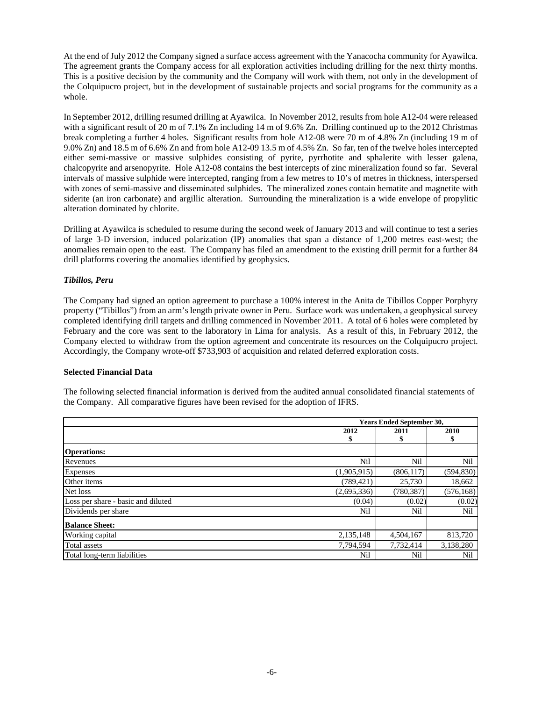At the end of July 2012 the Company signed a surface access agreement with the Yanacocha community for Ayawilca. The agreement grants the Company access for all exploration activities including drilling for the next thirty months. This is a positive decision by the community and the Company will work with them, not only in the development of the Colquipucro project, but in the development of sustainable projects and social programs for the community as a whole.

In September 2012, drilling resumed drilling at Ayawilca. In November 2012, results from hole A12-04 were released with a significant result of 20 m of 7.1% Zn including 14 m of 9.6% Zn. Drilling continued up to the 2012 Christmas break completing a further 4 holes. Significant results from hole A12-08 were 70 m of 4.8% Zn (including 19 m of 9.0% Zn) and 18.5 m of 6.6% Zn and from hole A12-09 13.5 m of 4.5% Zn. So far, ten of the twelve holes intercepted either semi-massive or massive sulphides consisting of pyrite, pyrrhotite and sphalerite with lesser galena, chalcopyrite and arsenopyrite. Hole A12-08 contains the best intercepts of zinc mineralization found so far. Several intervals of massive sulphide were intercepted, ranging from a few metres to 10's of metres in thickness, interspersed with zones of semi-massive and disseminated sulphides. The mineralized zones contain hematite and magnetite with siderite (an iron carbonate) and argillic alteration. Surrounding the mineralization is a wide envelope of propylitic alteration dominated by chlorite.

Drilling at Ayawilca is scheduled to resume during the second week of January 2013 and will continue to test a series of large 3-D inversion, induced polarization (IP) anomalies that span a distance of 1,200 metres east-west; the anomalies remain open to the east. The Company has filed an amendment to the existing drill permit for a further 84 drill platforms covering the anomalies identified by geophysics.

# *Tibillos, Peru*

The Company had signed an option agreement to purchase a 100% interest in the Anita de Tibillos Copper Porphyry property ("Tibillos") from an arm's length private owner in Peru. Surface work was undertaken, a geophysical survey completed identifying drill targets and drilling commenced in November 2011. A total of 6 holes were completed by February and the core was sent to the laboratory in Lima for analysis. As a result of this, in February 2012, the Company elected to withdraw from the option agreement and concentrate its resources on the Colquipucro project. Accordingly, the Company wrote-off \$733,903 of acquisition and related deferred exploration costs.

# **Selected Financial Data**

The following selected financial information is derived from the audited annual consolidated financial statements of the Company. All comparative figures have been revised for the adoption of IFRS.

|                                    | <b>Years Ended September 30,</b> |            |            |  |  |
|------------------------------------|----------------------------------|------------|------------|--|--|
|                                    | 2012                             | 2011       | 2010       |  |  |
|                                    |                                  | \$         | \$         |  |  |
| <b>Operations:</b>                 |                                  |            |            |  |  |
| Revenues                           | Nil                              | Nil        | Nil        |  |  |
| Expenses                           | (1,905,915)                      | (806, 117) | (594, 830) |  |  |
| Other items                        | (789, 421)                       | 25,730     | 18,662     |  |  |
| Net loss                           | (2,695,336)                      | (780, 387) | (576, 168) |  |  |
| Loss per share - basic and diluted | (0.04)                           | (0.02)     | (0.02)     |  |  |
| Dividends per share                | Nil                              | Nil        | Nil        |  |  |
| <b>Balance Sheet:</b>              |                                  |            |            |  |  |
| Working capital                    | 2,135,148                        | 4,504,167  | 813,720    |  |  |
| Total assets                       | 7,794,594                        | 7,732,414  | 3,138,280  |  |  |
| Total long-term liabilities        | Nil                              | Nil        | Nil        |  |  |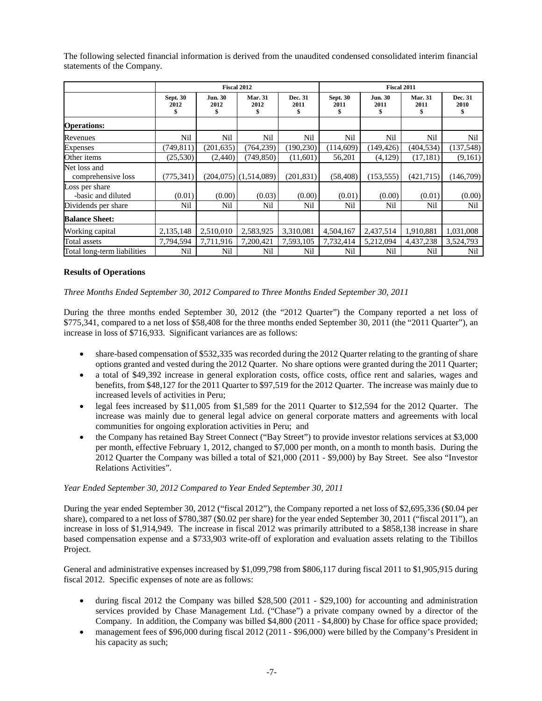|                                      | <b>Fiscal 2012</b>      |                             |                           |                       | Fiscal 2011             |                        |                             |                 |
|--------------------------------------|-------------------------|-----------------------------|---------------------------|-----------------------|-------------------------|------------------------|-----------------------------|-----------------|
|                                      | <b>Sept. 30</b><br>2012 | <b>Jun. 30</b><br>2012<br>S | <b>Mar. 31</b><br>2012    | Dec. 31<br>2011<br>\$ | <b>Sept. 30</b><br>2011 | <b>Jun. 30</b><br>2011 | <b>Mar. 31</b><br>2011<br>S | Dec. 31<br>2010 |
| <b>Operations:</b>                   |                         |                             |                           |                       |                         |                        |                             |                 |
| Revenues                             | Nil                     | Nil                         | Nil                       | Nil                   | Nil                     | Nil                    | Nil                         | Nil             |
| <b>Expenses</b>                      | (749, 811)              | (201, 635)                  | (764, 239)                | (190, 230)            | (114,609)               | (149, 426)             | (404, 534)                  | (137, 548)      |
| Other items                          | (25, 530)               | (2,440)                     | (749, 850)                | (11,601)              | 56,201                  | (4,129)                | (17, 181)                   | (9,161)         |
| Net loss and<br>comprehensive loss   | (775, 341)              |                             | $(204,075)$ $(1,514,089)$ | (201, 831)            | (58, 408)               | (153, 555)             | (421,715)                   | (146,709)       |
| Loss per share<br>-basic and diluted | (0.01)                  | (0.00)                      | (0.03)                    | (0.00)                | (0.01)                  | (0.00)                 | (0.01)                      | (0.00)          |
| Dividends per share                  | Nil                     | Nil                         | Nil                       | Nil                   | Nil                     | Nil                    | Nil                         | Nil             |
| <b>Balance Sheet:</b>                |                         |                             |                           |                       |                         |                        |                             |                 |
| Working capital                      | 2,135,148               | 2,510,010                   | 2,583,925                 | 3,310,081             | 4,504,167               | 2,437,514              | 1,910,881                   | 1,031,008       |
| Total assets                         | 7,794,594               | 7,711,916                   | 7,200,421                 | 7,593,105             | 7,732,414               | 5,212,094              | 4,437,238                   | 3,524,793       |
| Total long-term liabilities          | Nil                     | Nil                         | Nil                       | Nil                   | Nil                     | Nil                    | Nil                         | Nil             |

The following selected financial information is derived from the unaudited condensed consolidated interim financial statements of the Company.

## **Results of Operations**

*Three Months Ended September 30, 2012 Compared to Three Months Ended September 30, 2011*

During the three months ended September 30, 2012 (the "2012 Quarter") the Company reported a net loss of \$775,341, compared to a net loss of \$58,408 for the three months ended September 30, 2011 (the "2011 Quarter"), an increase in loss of \$716,933. Significant variances are as follows:

- share-based compensation of \$532,335 was recorded during the 2012 Quarter relating to the granting of share options granted and vested during the 2012 Quarter. No share options were granted during the 2011 Quarter;
- a total of \$49,392 increase in general exploration costs, office costs, office rent and salaries, wages and benefits, from \$48,127 for the 2011 Quarter to \$97,519 for the 2012 Quarter. The increase was mainly due to increased levels of activities in Peru;
- legal fees increased by \$11,005 from \$1,589 for the 2011 Quarter to \$12,594 for the 2012 Quarter. The increase was mainly due to general legal advice on general corporate matters and agreements with local communities for ongoing exploration activities in Peru; and
- the Company has retained Bay Street Connect ("Bay Street") to provide investor relations services at \$3,000 per month, effective February 1, 2012, changed to \$7,000 per month, on a month to month basis. During the 2012 Quarter the Company was billed a total of \$21,000 (2011 - \$9,000) by Bay Street. See also "Investor Relations Activities".

#### *Year Ended September 30, 2012 Compared to Year Ended September 30, 2011*

During the year ended September 30, 2012 ("fiscal 2012"), the Company reported a net loss of \$2,695,336 (\$0.04 per share), compared to a net loss of \$780,387 (\$0.02 per share) for the year ended September 30, 2011 ("fiscal 2011"), an increase in loss of \$1,914,949. The increase in fiscal 2012 was primarily attributed to a \$858,138 increase in share based compensation expense and a \$733,903 write-off of exploration and evaluation assets relating to the Tibillos Project.

General and administrative expenses increased by \$1,099,798 from \$806,117 during fiscal 2011 to \$1,905,915 during fiscal 2012. Specific expenses of note are as follows:

- during fiscal 2012 the Company was billed \$28,500 (2011 \$29,100) for accounting and administration services provided by Chase Management Ltd. ("Chase") a private company owned by a director of the Company. In addition, the Company was billed \$4,800 (2011 - \$4,800) by Chase for office space provided;
- management fees of \$96,000 during fiscal 2012 (2011 \$96,000) were billed by the Company's President in his capacity as such;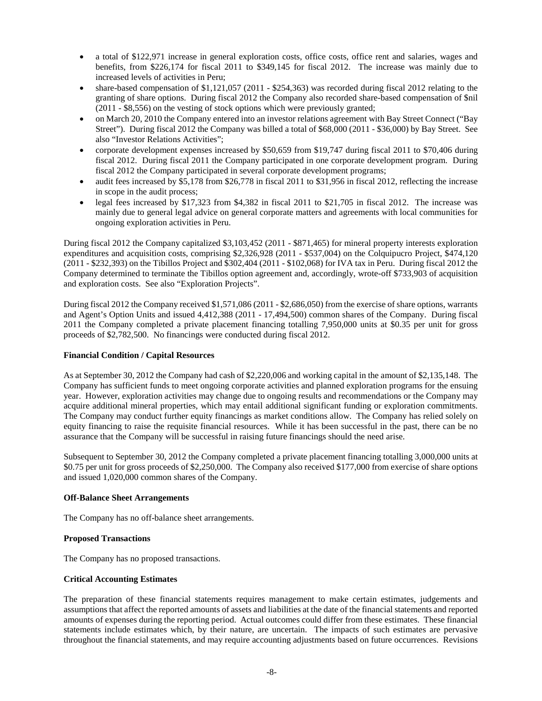- a total of \$122,971 increase in general exploration costs, office costs, office rent and salaries, wages and benefits, from \$226,174 for fiscal 2011 to \$349,145 for fiscal 2012. The increase was mainly due to increased levels of activities in Peru;
- share-based compensation of \$1,121,057 (2011 \$254,363) was recorded during fiscal 2012 relating to the granting of share options. During fiscal 2012 the Company also recorded share-based compensation of \$nil (2011 - \$8,556) on the vesting of stock options which were previously granted;
- on March 20, 2010 the Company entered into an investor relations agreement with Bay Street Connect ("Bay Street"). During fiscal 2012 the Company was billed a total of \$68,000 (2011 - \$36,000) by Bay Street. See also "Investor Relations Activities";
- corporate development expenses increased by \$50,659 from \$19,747 during fiscal 2011 to \$70,406 during fiscal 2012. During fiscal 2011 the Company participated in one corporate development program. During fiscal 2012 the Company participated in several corporate development programs;
- audit fees increased by \$5,178 from \$26,778 in fiscal 2011 to \$31,956 in fiscal 2012, reflecting the increase in scope in the audit process;
- legal fees increased by \$17,323 from \$4,382 in fiscal 2011 to \$21,705 in fiscal 2012. The increase was mainly due to general legal advice on general corporate matters and agreements with local communities for ongoing exploration activities in Peru.

During fiscal 2012 the Company capitalized \$3,103,452 (2011 - \$871,465) for mineral property interests exploration expenditures and acquisition costs, comprising \$2,326,928 (2011 - \$537,004) on the Colquipucro Project, \$474,120 (2011 - \$232,393) on the Tibillos Project and \$302,404 (2011 - \$102,068) for IVA tax in Peru. During fiscal 2012 the Company determined to terminate the Tibillos option agreement and, accordingly, wrote-off \$733,903 of acquisition and exploration costs. See also "Exploration Projects".

During fiscal 2012 the Company received \$1,571,086 (2011 - \$2,686,050) from the exercise of share options, warrants and Agent's Option Units and issued 4,412,388 (2011 - 17,494,500) common shares of the Company. During fiscal 2011 the Company completed a private placement financing totalling 7,950,000 units at \$0.35 per unit for gross proceeds of \$2,782,500. No financings were conducted during fiscal 2012.

# **Financial Condition / Capital Resources**

As at September 30, 2012 the Company had cash of \$2,220,006 and working capital in the amount of \$2,135,148. The Company has sufficient funds to meet ongoing corporate activities and planned exploration programs for the ensuing year. However, exploration activities may change due to ongoing results and recommendations or the Company may acquire additional mineral properties, which may entail additional significant funding or exploration commitments. The Company may conduct further equity financings as market conditions allow. The Company has relied solely on equity financing to raise the requisite financial resources. While it has been successful in the past, there can be no assurance that the Company will be successful in raising future financings should the need arise.

Subsequent to September 30, 2012 the Company completed a private placement financing totalling 3,000,000 units at \$0.75 per unit for gross proceeds of \$2,250,000. The Company also received \$177,000 from exercise of share options and issued 1,020,000 common shares of the Company.

# **Off-Balance Sheet Arrangements**

The Company has no off-balance sheet arrangements.

# **Proposed Transactions**

The Company has no proposed transactions.

# **Critical Accounting Estimates**

The preparation of these financial statements requires management to make certain estimates, judgements and assumptions that affect the reported amounts of assets and liabilities at the date of the financial statements and reported amounts of expenses during the reporting period. Actual outcomes could differ from these estimates. These financial statements include estimates which, by their nature, are uncertain. The impacts of such estimates are pervasive throughout the financial statements, and may require accounting adjustments based on future occurrences. Revisions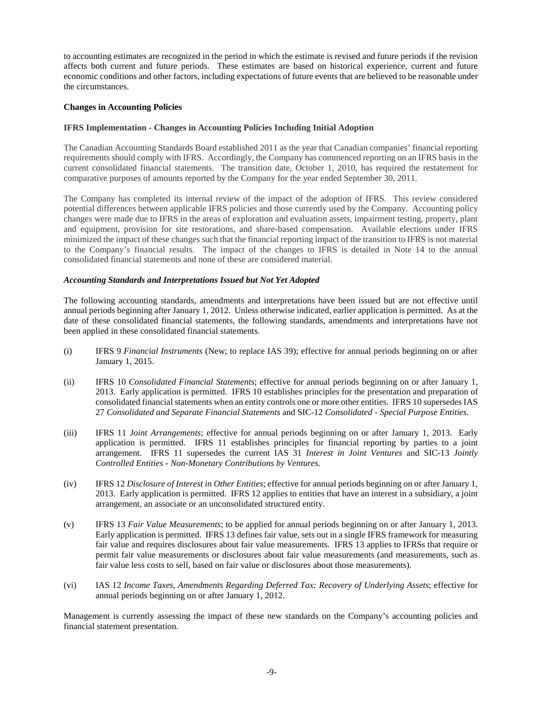to accounting estimates are recognized in the period in which the estimate is revised and future periods if the revision affects both current and future periods. These estimates are based on historical experience, current and future economic conditions and other factors, including expectations of future events that are believed to be reasonable under the circumstances.

## **Changes in Accounting Policies**

#### **IFRS Implementation - Changes in Accounting Policies Including Initial Adoption**

The Canadian Accounting Standards Board established 2011 as the year that Canadian companies' financial reporting requirements should comply with IFRS. Accordingly, the Company has commenced reporting on an IFRS basis in the current consolidated financial statements. The transition date, October 1, 2010, has required the restatement for comparative purposes of amounts reported by the Company for the year ended September 30, 2011.

The Company has completed its internal review of the impact of the adoption of IFRS. This review considered potential differences between applicable IFRS policies and those currently used by the Company. Accounting policy changes were made due to IFRS in the areas of exploration and evaluation assets, impairment testing, property, plant and equipment, provision for site restorations, and share-based compensation. Available elections under IFRS minimized the impact of these changes such that the financial reporting impact of the transition to IFRS is not material to the Company's financial results. The impact of the changes to IFRS is detailed in Note 14 to the annual consolidated financial statements and none of these are considered material.

## *Accounting Standards and Interpretations Issued but Not Yet Adopted*

The following accounting standards, amendments and interpretations have been issued but are not effective until annual periods beginning after January 1, 2012. Unless otherwise indicated, earlier application is permitted. As at the date of these consolidated financial statements, the following standards, amendments and interpretations have not been applied in these consolidated financial statements.

- (i) IFRS 9 *Financial Instruments* (New; to replace IAS 39); effective for annual periods beginning on or after January 1, 2015.
- (ii) IFRS 10 *Consolidated Financial Statements*; effective for annual periods beginning on or after January 1, 2013. Early application is permitted. IFRS 10 establishes principles for the presentation and preparation of consolidated financial statements when an entity controls one or more other entities. IFRS 10 supersedes IAS 27 *Consolidated and Separate Financial Statements* and SIC-12 *Consolidated - Special Purpose Entities*.
- (iii) IFRS 11 *Joint Arrangements*; effective for annual periods beginning on or after January 1, 2013. Early application is permitted. IFRS 11 establishes principles for financial reporting by parties to a joint arrangement. IFRS 11 supersedes the current IAS 31 *Interest in Joint Ventures* and SIC-13 *Jointly Controlled Entities - Non-Monetary Contributions by Ventures*.
- (iv) IFRS 12 *Disclosure of Interest in Other Entities*; effective for annual periods beginning on or after January 1, 2013. Early application is permitted. IFRS 12 applies to entities that have an interest in a subsidiary, a joint arrangement, an associate or an unconsolidated structured entity.
- (v) IFRS 13 *Fair Value Measurements*; to be applied for annual periods beginning on or after January 1, 2013. Early application is permitted. IFRS 13 defines fair value, sets out in a single IFRS framework for measuring fair value and requires disclosures about fair value measurements. IFRS 13 applies to IFRSs that require or permit fair value measurements or disclosures about fair value measurements (and measurements, such as fair value less costs to sell, based on fair value or disclosures about those measurements).
- (vi) IAS 12 *Income Taxes, Amendments Regarding Deferred Tax: Recovery of Underlying Assets*; effective for annual periods beginning on or after January 1, 2012.

Management is currently assessing the impact of these new standards on the Company's accounting policies and financial statement presentation.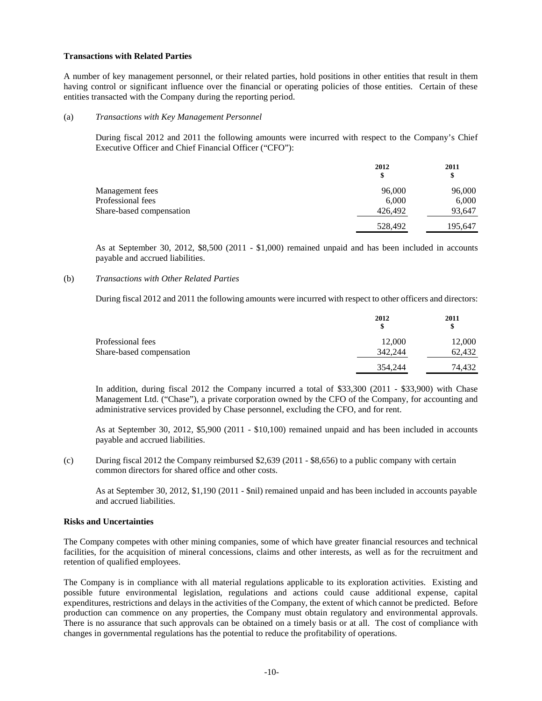#### **Transactions with Related Parties**

A number of key management personnel, or their related parties, hold positions in other entities that result in them having control or significant influence over the financial or operating policies of those entities. Certain of these entities transacted with the Company during the reporting period.

#### (a) *Transactions with Key Management Personnel*

During fiscal 2012 and 2011 the following amounts were incurred with respect to the Company's Chief Executive Officer and Chief Financial Officer ("CFO"):

|                          | 2012<br>\$ | 2011<br>\$ |
|--------------------------|------------|------------|
| Management fees          | 96,000     | 96,000     |
| Professional fees        | 6.000      | 6,000      |
| Share-based compensation | 426,492    | 93,647     |
|                          | 528,492    | 195,647    |

As at September 30, 2012, \$8,500 (2011 - \$1,000) remained unpaid and has been included in accounts payable and accrued liabilities.

## (b) *Transactions with Other Related Parties*

During fiscal 2012 and 2011 the following amounts were incurred with respect to other officers and directors:

|                          | 2012<br>S | 2011<br>\$ |
|--------------------------|-----------|------------|
| Professional fees        | 12,000    | 12,000     |
| Share-based compensation | 342,244   | 62,432     |
|                          | 354,244   | 74.432     |

In addition, during fiscal 2012 the Company incurred a total of \$33,300 (2011 - \$33,900) with Chase Management Ltd. ("Chase"), a private corporation owned by the CFO of the Company, for accounting and administrative services provided by Chase personnel, excluding the CFO, and for rent.

As at September 30, 2012, \$5,900 (2011 - \$10,100) remained unpaid and has been included in accounts payable and accrued liabilities.

(c) During fiscal 2012 the Company reimbursed \$2,639 (2011 - \$8,656) to a public company with certain common directors for shared office and other costs.

As at September 30, 2012, \$1,190 (2011 - \$nil) remained unpaid and has been included in accounts payable and accrued liabilities.

## **Risks and Uncertainties**

The Company competes with other mining companies, some of which have greater financial resources and technical facilities, for the acquisition of mineral concessions, claims and other interests, as well as for the recruitment and retention of qualified employees.

The Company is in compliance with all material regulations applicable to its exploration activities. Existing and possible future environmental legislation, regulations and actions could cause additional expense, capital expenditures, restrictions and delays in the activities of the Company, the extent of which cannot be predicted. Before production can commence on any properties, the Company must obtain regulatory and environmental approvals. There is no assurance that such approvals can be obtained on a timely basis or at all. The cost of compliance with changes in governmental regulations has the potential to reduce the profitability of operations.